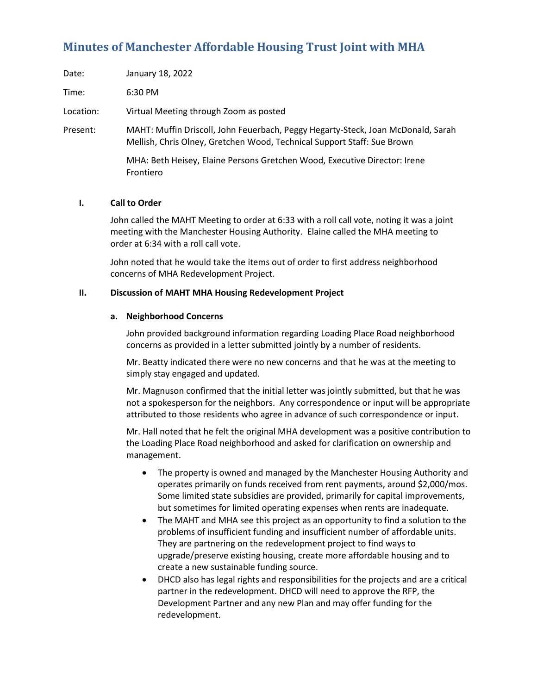# **Minutes of Manchester Affordable Housing Trust Joint with MHA**

| Date:     | January 18, 2022                                                                                                                                            |
|-----------|-------------------------------------------------------------------------------------------------------------------------------------------------------------|
| Time:     | 6:30 PM                                                                                                                                                     |
| Location: | Virtual Meeting through Zoom as posted                                                                                                                      |
| Present:  | MAHT: Muffin Driscoll, John Feuerbach, Peggy Hegarty-Steck, Joan McDonald, Sarah<br>Mellish, Chris Olney, Gretchen Wood, Technical Support Staff: Sue Brown |

MHA: Beth Heisey, Elaine Persons Gretchen Wood, Executive Director: Irene Frontiero

## **I. Call to Order**

John called the MAHT Meeting to order at 6:33 with a roll call vote, noting it was a joint meeting with the Manchester Housing Authority. Elaine called the MHA meeting to order at 6:34 with a roll call vote.

John noted that he would take the items out of order to first address neighborhood concerns of MHA Redevelopment Project.

#### **II. Discussion of MAHT MHA Housing Redevelopment Project**

## **a. Neighborhood Concerns**

John provided background information regarding Loading Place Road neighborhood concerns as provided in a letter submitted jointly by a number of residents.

Mr. Beatty indicated there were no new concerns and that he was at the meeting to simply stay engaged and updated.

Mr. Magnuson confirmed that the initial letter was jointly submitted, but that he was not a spokesperson for the neighbors. Any correspondence or input will be appropriate attributed to those residents who agree in advance of such correspondence or input.

Mr. Hall noted that he felt the original MHA development was a positive contribution to the Loading Place Road neighborhood and asked for clarification on ownership and management.

- The property is owned and managed by the Manchester Housing Authority and operates primarily on funds received from rent payments, around \$2,000/mos. Some limited state subsidies are provided, primarily for capital improvements, but sometimes for limited operating expenses when rents are inadequate.
- The MAHT and MHA see this project as an opportunity to find a solution to the problems of insufficient funding and insufficient number of affordable units. They are partnering on the redevelopment project to find ways to upgrade/preserve existing housing, create more affordable housing and to create a new sustainable funding source.
- DHCD also has legal rights and responsibilities for the projects and are a critical partner in the redevelopment. DHCD will need to approve the RFP, the Development Partner and any new Plan and may offer funding for the redevelopment.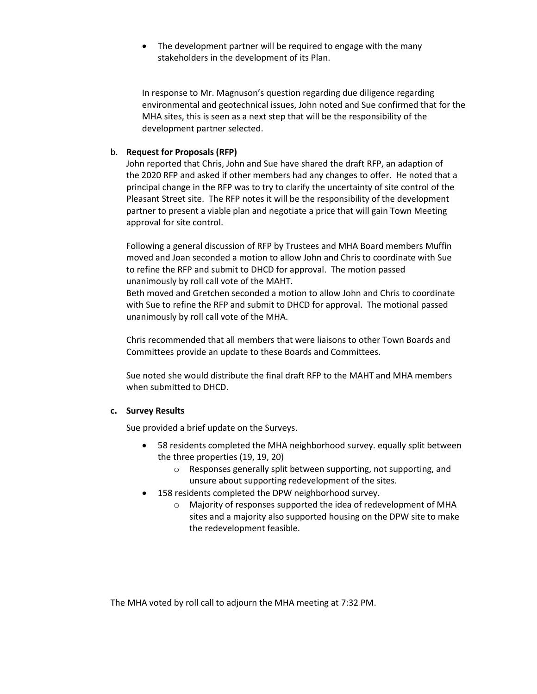• The development partner will be required to engage with the many stakeholders in the development of its Plan.

In response to Mr. Magnuson's question regarding due diligence regarding environmental and geotechnical issues, John noted and Sue confirmed that for the MHA sites, this is seen as a next step that will be the responsibility of the development partner selected.

# b. **Request for Proposals (RFP)**

John reported that Chris, John and Sue have shared the draft RFP, an adaption of the 2020 RFP and asked if other members had any changes to offer. He noted that a principal change in the RFP was to try to clarify the uncertainty of site control of the Pleasant Street site. The RFP notes it will be the responsibility of the development partner to present a viable plan and negotiate a price that will gain Town Meeting approval for site control.

Following a general discussion of RFP by Trustees and MHA Board members Muffin moved and Joan seconded a motion to allow John and Chris to coordinate with Sue to refine the RFP and submit to DHCD for approval. The motion passed unanimously by roll call vote of the MAHT.

Beth moved and Gretchen seconded a motion to allow John and Chris to coordinate with Sue to refine the RFP and submit to DHCD for approval. The motional passed unanimously by roll call vote of the MHA.

Chris recommended that all members that were liaisons to other Town Boards and Committees provide an update to these Boards and Committees.

Sue noted she would distribute the final draft RFP to the MAHT and MHA members when submitted to DHCD.

# **c. Survey Results**

Sue provided a brief update on the Surveys.

- 58 residents completed the MHA neighborhood survey. equally split between the three properties (19, 19, 20)
	- o Responses generally split between supporting, not supporting, and unsure about supporting redevelopment of the sites.
- 158 residents completed the DPW neighborhood survey.
	- o Majority of responses supported the idea of redevelopment of MHA sites and a majority also supported housing on the DPW site to make the redevelopment feasible.

The MHA voted by roll call to adjourn the MHA meeting at 7:32 PM.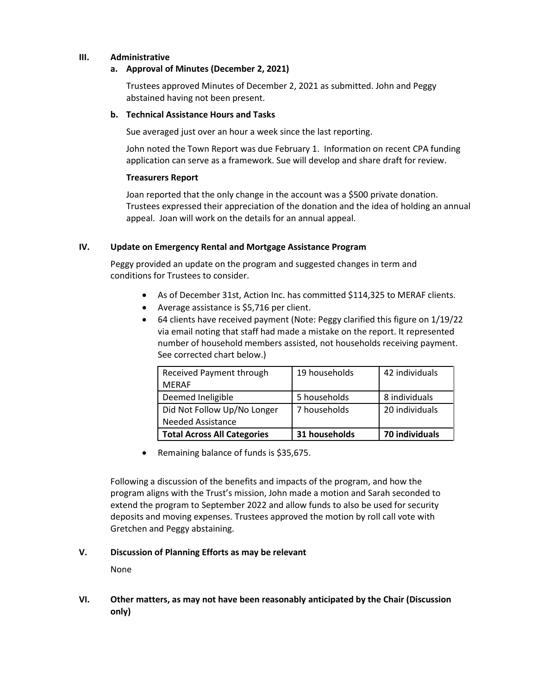# **III. Administrative**

## **a. Approval of Minutes (December 2, 2021)**

Trustees approved Minutes of December 2, 2021 as submitted. John and Peggy abstained having not been present.

#### **b. Technical Assistance Hours and Tasks**

Sue averaged just over an hour a week since the last reporting.

John noted the Town Report was due February 1. Information on recent CPA funding application can serve as a framework. Sue will develop and share draft for review.

#### **Treasurers Report**

Joan reported that the only change in the account was a \$500 private donation. Trustees expressed their appreciation of the donation and the idea of holding an annual appeal. Joan will work on the details for an annual appeal.

#### **IV. Update on Emergency Rental and Mortgage Assistance Program**

Peggy provided an update on the program and suggested changes in term and conditions for Trustees to consider.

- As of December 31st, Action Inc. has committed \$114,325 to MERAF clients.
- Average assistance is \$5,716 per client.
- 64 clients have received payment (Note: Peggy clarified this figure on 1/19/22 via email noting that staff had made a mistake on the report. It represented number of household members assisted, not households receiving payment. See corrected chart below.)

| Received Payment through           | 19 households | 42 individuals |
|------------------------------------|---------------|----------------|
| <b>MERAF</b>                       |               |                |
| Deemed Ineligible                  | 5 households  | 8 individuals  |
| Did Not Follow Up/No Longer        | 7 households  | 20 individuals |
| <b>Needed Assistance</b>           |               |                |
| <b>Total Across All Categories</b> | 31 households | 70 individuals |

• Remaining balance of funds is \$35,675.

Following a discussion of the benefits and impacts of the program, and how the program aligns with the Trust's mission, John made a motion and Sarah seconded to extend the program to September 2022 and allow funds to also be used for security deposits and moving expenses. Trustees approved the motion by roll call vote with Gretchen and Peggy abstaining.

# **V. Discussion of Planning Efforts as may be relevant**

None

**VI. Other matters, as may not have been reasonably anticipated by the Chair (Discussion only)**